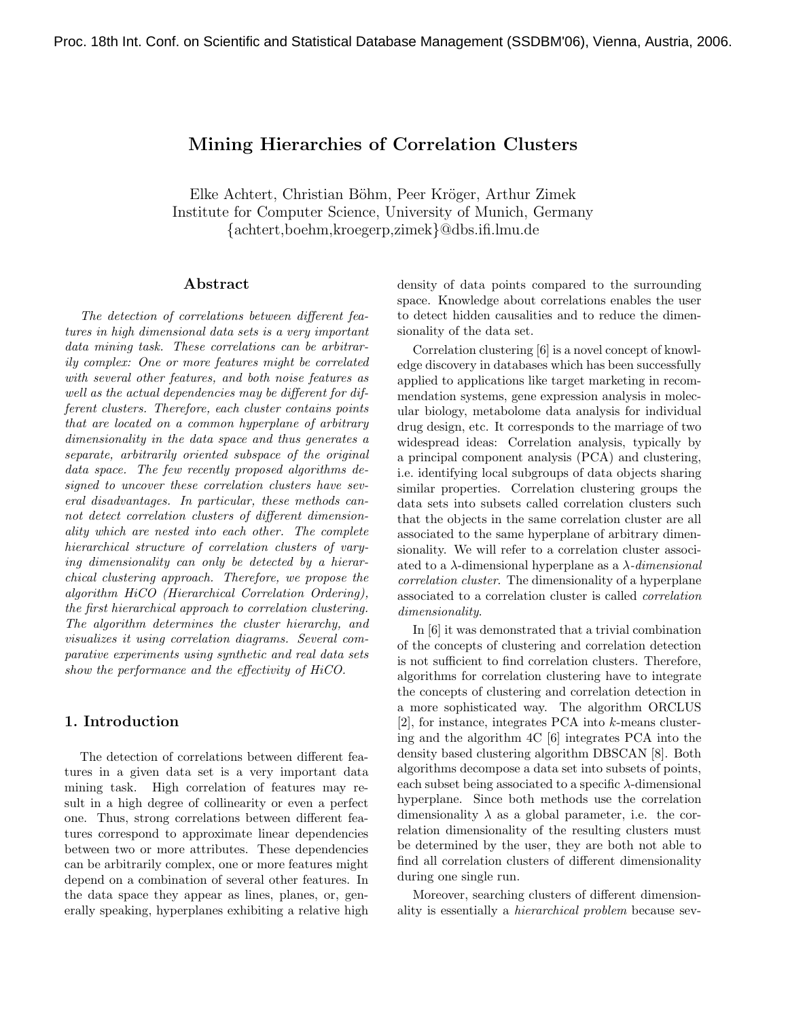# **Mining Hierarchies of Correlation Clusters**

Elke Achtert, Christian Böhm, Peer Kröger, Arthur Zimek Institute for Computer Science, University of Munich, Germany {achtert,boehm,kroegerp,zimek}@dbs.ifi.lmu.de

## **Abstract**

*The detection of correlations between different features in high dimensional data sets is a very important data mining task. These correlations can be arbitrarily complex: One or more features might be correlated with several other features, and both noise features as well as the actual dependencies may be different for different clusters. Therefore, each cluster contains points that are located on a common hyperplane of arbitrary dimensionality in the data space and thus generates a separate, arbitrarily oriented subspace of the original data space. The few recently proposed algorithms designed to uncover these correlation clusters have several disadvantages. In particular, these methods cannot detect correlation clusters of different dimensionality which are nested into each other. The complete hierarchical structure of correlation clusters of varying dimensionality can only be detected by a hierarchical clustering approach. Therefore, we propose the algorithm HiCO (Hierarchical Correlation Ordering), the first hierarchical approach to correlation clustering. The algorithm determines the cluster hierarchy, and visualizes it using correlation diagrams. Several comparative experiments using synthetic and real data sets show the performance and the effectivity of HiCO.*

## **1. Introduction**

The detection of correlations between different features in a given data set is a very important data mining task. High correlation of features may result in a high degree of collinearity or even a perfect one. Thus, strong correlations between different features correspond to approximate linear dependencies between two or more attributes. These dependencies can be arbitrarily complex, one or more features might depend on a combination of several other features. In the data space they appear as lines, planes, or, generally speaking, hyperplanes exhibiting a relative high density of data points compared to the surrounding space. Knowledge about correlations enables the user to detect hidden causalities and to reduce the dimensionality of the data set.

Correlation clustering [6] is a novel concept of knowledge discovery in databases which has been successfully applied to applications like target marketing in recommendation systems, gene expression analysis in molecular biology, metabolome data analysis for individual drug design, etc. It corresponds to the marriage of two widespread ideas: Correlation analysis, typically by a principal component analysis (PCA) and clustering, i.e. identifying local subgroups of data objects sharing similar properties. Correlation clustering groups the data sets into subsets called correlation clusters such that the objects in the same correlation cluster are all associated to the same hyperplane of arbitrary dimensionality. We will refer to a correlation cluster associated to a *λ*-dimensional hyperplane as a *λ-dimensional correlation cluster*. The dimensionality of a hyperplane associated to a correlation cluster is called *correlation dimensionality*.

In [6] it was demonstrated that a trivial combination of the concepts of clustering and correlation detection is not sufficient to find correlation clusters. Therefore, algorithms for correlation clustering have to integrate the concepts of clustering and correlation detection in a more sophisticated way. The algorithm ORCLUS [2], for instance, integrates PCA into *k*-means clustering and the algorithm 4C [6] integrates PCA into the density based clustering algorithm DBSCAN [8]. Both algorithms decompose a data set into subsets of points, each subset being associated to a specific *λ*-dimensional hyperplane. Since both methods use the correlation dimensionality  $\lambda$  as a global parameter, i.e. the correlation dimensionality of the resulting clusters must be determined by the user, they are both not able to find all correlation clusters of different dimensionality during one single run.

Moreover, searching clusters of different dimensionality is essentially a *hierarchical problem* because sev-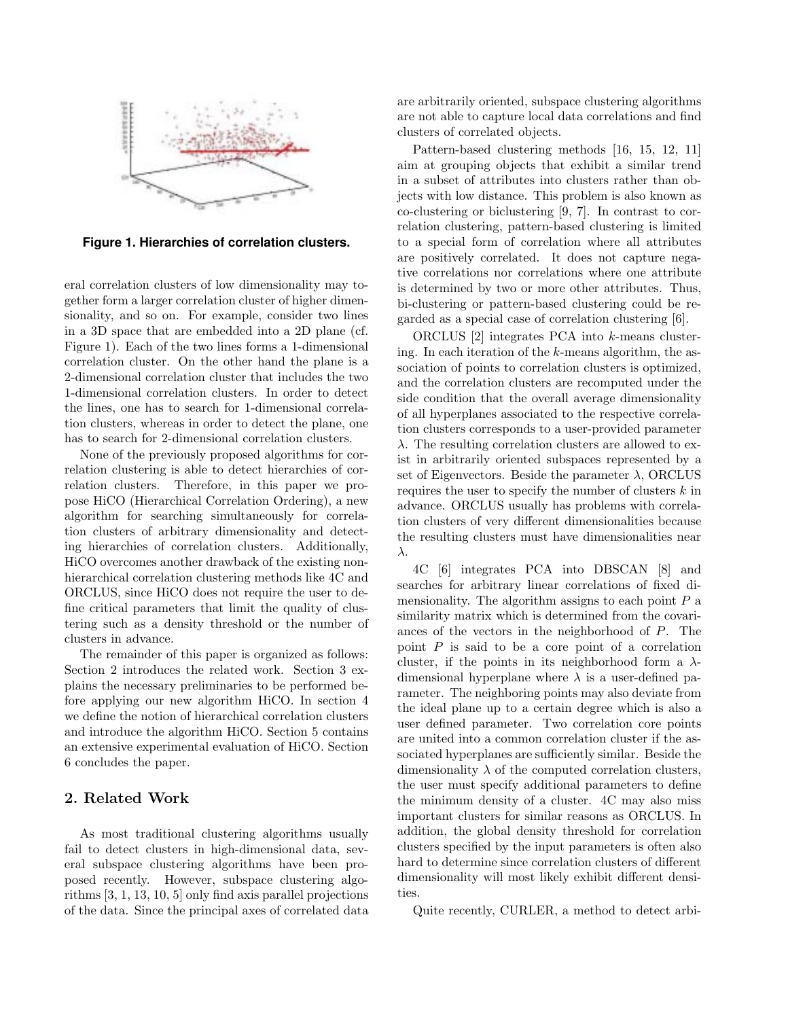

**Figure 1. Hierarchies of correlation clusters.**

eral correlation clusters of low dimensionality may together form a larger correlation cluster of higher dimensionality, and so on. For example, consider two lines in a 3D space that are embedded into a 2D plane (cf. Figure 1). Each of the two lines forms a 1-dimensional correlation cluster. On the other hand the plane is a 2-dimensional correlation cluster that includes the two 1-dimensional correlation clusters. In order to detect the lines, one has to search for 1-dimensional correlation clusters, whereas in order to detect the plane, one has to search for 2-dimensional correlation clusters.

None of the previously proposed algorithms for correlation clustering is able to detect hierarchies of correlation clusters. Therefore, in this paper we propose HiCO (Hierarchical Correlation Ordering), a new algorithm for searching simultaneously for correlation clusters of arbitrary dimensionality and detecting hierarchies of correlation clusters. Additionally, HiCO overcomes another drawback of the existing nonhierarchical correlation clustering methods like 4C and ORCLUS, since HiCO does not require the user to define critical parameters that limit the quality of clustering such as a density threshold or the number of clusters in advance.

The remainder of this paper is organized as follows: Section 2 introduces the related work. Section 3 explains the necessary preliminaries to be performed before applying our new algorithm HiCO. In section 4 we define the notion of hierarchical correlation clusters and introduce the algorithm HiCO. Section 5 contains an extensive experimental evaluation of HiCO. Section 6 concludes the paper.

## **2. Related Work**

As most traditional clustering algorithms usually fail to detect clusters in high-dimensional data, several subspace clustering algorithms have been proposed recently. However, subspace clustering algorithms [3, 1, 13, 10, 5] only find axis parallel projections of the data. Since the principal axes of correlated data are arbitrarily oriented, subspace clustering algorithms are not able to capture local data correlations and find clusters of correlated objects.

Pattern-based clustering methods [16, 15, 12, 11] aim at grouping objects that exhibit a similar trend in a subset of attributes into clusters rather than objects with low distance. This problem is also known as co-clustering or biclustering [9, 7]. In contrast to correlation clustering, pattern-based clustering is limited to a special form of correlation where all attributes are positively correlated. It does not capture negative correlations nor correlations where one attribute is determined by two or more other attributes. Thus, bi-clustering or pattern-based clustering could be regarded as a special case of correlation clustering [6].

ORCLUS [2] integrates PCA into *k*-means clustering. In each iteration of the *k*-means algorithm, the association of points to correlation clusters is optimized, and the correlation clusters are recomputed under the side condition that the overall average dimensionality of all hyperplanes associated to the respective correlation clusters corresponds to a user-provided parameter *λ*. The resulting correlation clusters are allowed to exist in arbitrarily oriented subspaces represented by a set of Eigenvectors. Beside the parameter  $\lambda$ , ORCLUS requires the user to specify the number of clusters *k* in advance. ORCLUS usually has problems with correlation clusters of very different dimensionalities because the resulting clusters must have dimensionalities near *λ*.

4C [6] integrates PCA into DBSCAN [8] and searches for arbitrary linear correlations of fixed dimensionality. The algorithm assigns to each point *P* a similarity matrix which is determined from the covariances of the vectors in the neighborhood of *P*. The point *P* is said to be a core point of a correlation cluster, if the points in its neighborhood form a *λ*dimensional hyperplane where  $\lambda$  is a user-defined parameter. The neighboring points may also deviate from the ideal plane up to a certain degree which is also a user defined parameter. Two correlation core points are united into a common correlation cluster if the associated hyperplanes are sufficiently similar. Beside the dimensionality  $\lambda$  of the computed correlation clusters, the user must specify additional parameters to define the minimum density of a cluster. 4C may also miss important clusters for similar reasons as ORCLUS. In addition, the global density threshold for correlation clusters specified by the input parameters is often also hard to determine since correlation clusters of different dimensionality will most likely exhibit different densities.

Quite recently, CURLER, a method to detect arbi-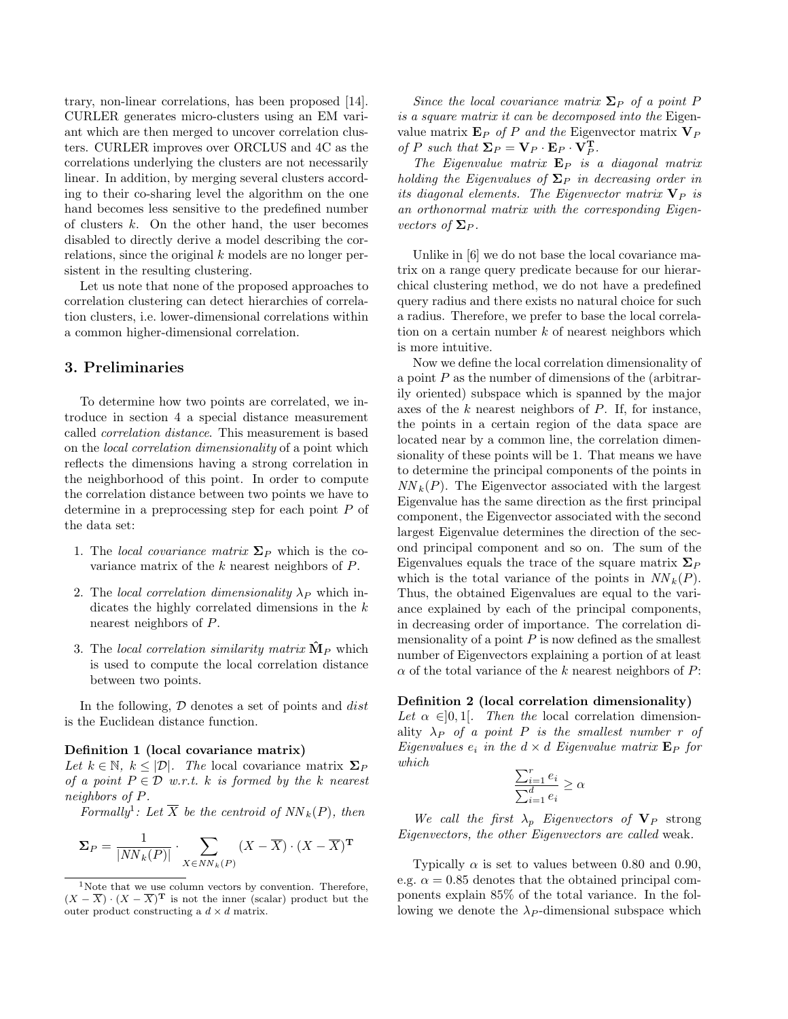trary, non-linear correlations, has been proposed [14]. CURLER generates micro-clusters using an EM variant which are then merged to uncover correlation clusters. CURLER improves over ORCLUS and 4C as the correlations underlying the clusters are not necessarily linear. In addition, by merging several clusters according to their co-sharing level the algorithm on the one hand becomes less sensitive to the predefined number of clusters *k*. On the other hand, the user becomes disabled to directly derive a model describing the correlations, since the original *k* models are no longer persistent in the resulting clustering.

Let us note that none of the proposed approaches to correlation clustering can detect hierarchies of correlation clusters, i.e. lower-dimensional correlations within a common higher-dimensional correlation.

## **3. Preliminaries**

To determine how two points are correlated, we introduce in section 4 a special distance measurement called *correlation distance*. This measurement is based on the *local correlation dimensionality* of a point which reflects the dimensions having a strong correlation in the neighborhood of this point. In order to compute the correlation distance between two points we have to determine in a preprocessing step for each point *P* of the data set:

- 1. The *local covariance matrix*  $\Sigma_P$  which is the covariance matrix of the *k* nearest neighbors of *P*.
- 2. The *local correlation dimensionality*  $\lambda_P$  which indicates the highly correlated dimensions in the *k* nearest neighbors of *P*.
- 3. The *local correlation similarity matrix*  $\hat{M}_P$  which is used to compute the local correlation distance between two points.

In the following, <sup>D</sup> denotes a set of points and *dist* is the Euclidean distance function.

#### **Definition 1 (local covariance matrix)**

Let  $k \in \mathbb{N}$ ,  $k \leq |\mathcal{D}|$ *. The* local covariance matrix  $\Sigma_P$ *of a point*  $P \in \mathcal{D}$  *w.r.t. k is formed by the k nearest neighbors of P.*

*Formally*<sup>1</sup>*:* Let  $\overline{X}$  be the centroid of  $NN_k(P)$ , then

$$
\Sigma_P = \frac{1}{|NN_k(P)|} \cdot \sum_{X \in NN_k(P)} (X - \overline{X}) \cdot (X - \overline{X})^{\mathbf{T}}
$$

*Since the local covariance matrix*  $\Sigma_P$  *of a point*  $P$ *is a square matrix it can be decomposed into the* Eigenvalue matrix  $\mathbf{E}_P$  *of P and the* Eigenvector matrix  $\mathbf{V}_P$  $of$  *P such that*  $\Sigma_P = \mathbf{V}_P \cdot \mathbf{E}_P \cdot \mathbf{V}_P^{\mathbf{T}}.$ 

*The Eigenvalue matrix* **E**<sup>P</sup> *is a diagonal matrix holding the Eigenvalues of*  $\Sigma_P$  *in decreasing order in its diagonal elements. The Eigenvector matrix*  $V_P$  *is an orthonormal matrix with the corresponding Eigenvectors of*  $\Sigma_P$ *.* 

Unlike in [6] we do not base the local covariance matrix on a range query predicate because for our hierarchical clustering method, we do not have a predefined query radius and there exists no natural choice for such a radius. Therefore, we prefer to base the local correlation on a certain number *k* of nearest neighbors which is more intuitive.

Now we define the local correlation dimensionality of a point *P* as the number of dimensions of the (arbitrarily oriented) subspace which is spanned by the major axes of the *k* nearest neighbors of *P*. If, for instance, the points in a certain region of the data space are located near by a common line, the correlation dimensionality of these points will be 1. That means we have to determine the principal components of the points in  $NN_k(P)$ . The Eigenvector associated with the largest Eigenvalue has the same direction as the first principal component, the Eigenvector associated with the second largest Eigenvalue determines the direction of the second principal component and so on. The sum of the Eigenvalues equals the trace of the square matrix  $\Sigma_P$ which is the total variance of the points in  $NN_k(P)$ . Thus, the obtained Eigenvalues are equal to the variance explained by each of the principal components, in decreasing order of importance. The correlation dimensionality of a point  $P$  is now defined as the smallest number of Eigenvectors explaining a portion of at least  $\alpha$  of the total variance of the *k* nearest neighbors of *P*:

#### **Definition 2 (local correlation dimensionality)**

*Let*  $\alpha \in ]0,1[$ *. Then the* local correlation dimensionality  $\lambda_P$  *of a point P is the smallest number r of Eigenvalues*  $e_i$  *in the*  $d \times d$  *Eigenvalue matrix*  $\mathbf{E}_P$  *for which* r

$$
\frac{\sum_{i=1}^{r} e_i}{\sum_{i=1}^{d} e_i} \ge \alpha
$$

*We call the first*  $\lambda_p$  *Eigenvectors of*  $V_P$  strong *Eigenvectors, the other Eigenvectors are called* weak*.*

Typically  $\alpha$  is set to values between 0.80 and 0.90, e.g.  $\alpha = 0.85$  denotes that the obtained principal components explain 85% of the total variance. In the following we denote the  $\lambda_P$ -dimensional subspace which

<sup>&</sup>lt;sup>1</sup>Note that we use column vectors by convention. Therefore,  $(X - \overline{X}) \cdot (X - \overline{X})^{\text{T}}$  is not the inner (scalar) product but the outer product constructing a  $d \times d$  matrix.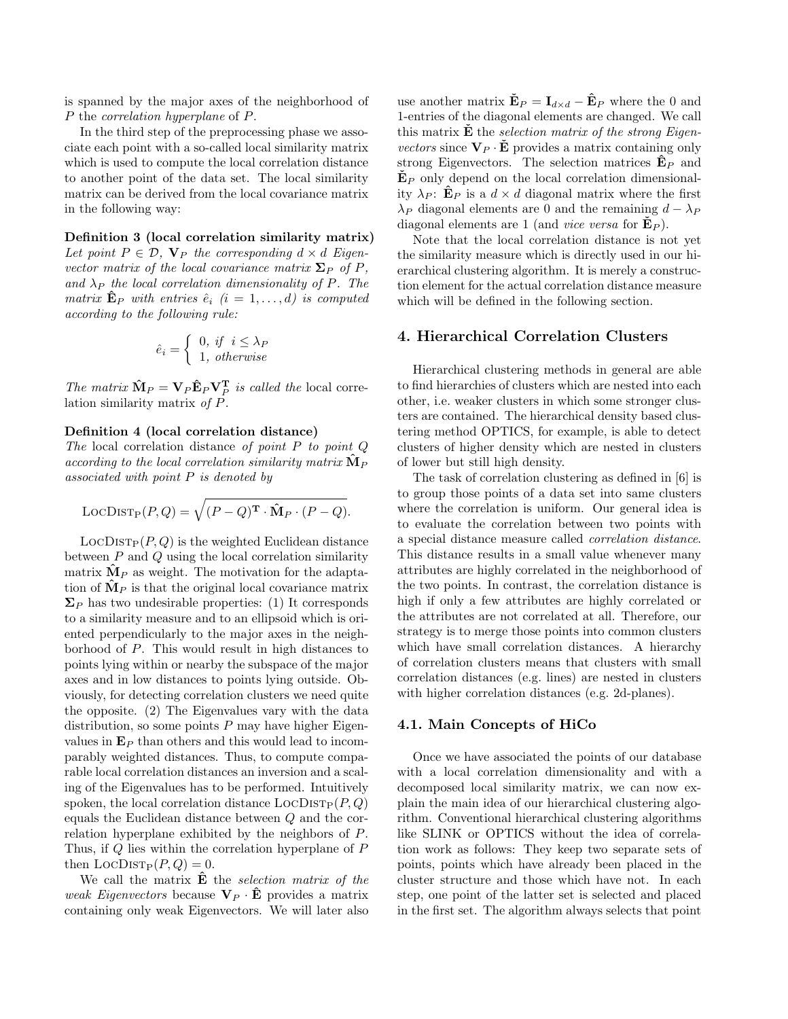is spanned by the major axes of the neighborhood of *P* the *correlation hyperplane* of *P*.

In the third step of the preprocessing phase we associate each point with a so-called local similarity matrix which is used to compute the local correlation distance to another point of the data set. The local similarity matrix can be derived from the local covariance matrix in the following way:

**Definition 3 (local correlation similarity matrix)** *Let point*  $P \in \mathcal{D}$ ,  $\mathbf{V}_P$  *the corresponding*  $d \times d$  *Eigenvector matrix of the local covariance matrix*  $\Sigma_P$  *of*  $P$ *,* and  $\lambda_P$  *the local correlation dimensionality of*  $P$ *. The matrix*  $\mathbf{E}_P$  *with entries*  $\hat{e}_i$  ( $i = 1, ..., d$ ) is computed *according to the following rule:*

$$
\hat{e}_i = \left\{ \begin{array}{ll} 0, & \text{if } i \leq \lambda_P \\ 1, & \text{otherwise} \end{array} \right.
$$

*The matrix*  $\mathbf{\hat{M}}_P = \mathbf{V}_P \mathbf{\hat{E}}_P \mathbf{V}_P^T$  *is called the* local correlation similarity matrix *of P.*

#### **Definition 4 (local correlation distance)**

*The* local correlation distance *of point P to point Q according to the local correlation similarity matrix* **Mˆ** <sup>P</sup> *associated with point P is denoted by*

$$
LocDIST_P(P,Q) = \sqrt{(P-Q)^{\mathbf{T}} \cdot \hat{\mathbf{M}}_P \cdot (P-Q)}.
$$

 $\text{LocDIST}_P(P,Q)$  is the weighted Euclidean distance between *P* and *Q* using the local correlation similarity matrix  $\hat{\mathbf{M}}_P$  as weight. The motivation for the adaptation of  $\hat{M}_P$  is that the original local covariance matrix  $\Sigma_P$  has two undesirable properties: (1) It corresponds to a similarity measure and to an ellipsoid which is oriented perpendicularly to the major axes in the neighborhood of *P*. This would result in high distances to points lying within or nearby the subspace of the major axes and in low distances to points lying outside. Obviously, for detecting correlation clusters we need quite the opposite. (2) The Eigenvalues vary with the data distribution, so some points *P* may have higher Eigenvalues in  $E_P$  than others and this would lead to incomparably weighted distances. Thus, to compute comparable local correlation distances an inversion and a scaling of the Eigenvalues has to be performed. Intuitively spoken, the local correlation distance  $\text{LocDIST}_P(P, Q)$ equals the Euclidean distance between *Q* and the correlation hyperplane exhibited by the neighbors of *P*. Thus, if *Q* lies within the correlation hyperplane of *P* then  $\text{LocDIST}_P(P,Q) = 0.$ 

We call the matrix **Eˆ** the *selection matrix of the weak Eigenvectors* because  $V_P \cdot \hat{E}$  provides a matrix containing only weak Eigenvectors. We will later also

use another matrix  $\check{\mathbf{E}}_P = \mathbf{I}_{d \times d} - \hat{\mathbf{E}}_P$  where the 0 and 1-entries of the diagonal elements are changed. We call this matrix  $\dot{\mathbf{E}}$  the *selection matrix of the strong Eigenvectors* since  $V_P \cdot \tilde{E}$  provides a matrix containing only strong Eigenvectors. The selection matrices  $\mathbf{\hat{E}}_P$  and  $\mathbf{E}_P$  only depend on the local correlation dimensionality  $\lambda_P$ :  $\mathbf{E}_P$  is a  $d \times d$  diagonal matrix where the first *λ*P diagonal elements are 0 and the remaining  $d − λ$ diagonal elements are 1 (and *vice versa* for  $\dot{\mathbf{E}}_P$ ).

Note that the local correlation distance is not yet the similarity measure which is directly used in our hierarchical clustering algorithm. It is merely a construction element for the actual correlation distance measure which will be defined in the following section.

## **4. Hierarchical Correlation Clusters**

Hierarchical clustering methods in general are able to find hierarchies of clusters which are nested into each other, i.e. weaker clusters in which some stronger clusters are contained. The hierarchical density based clustering method OPTICS, for example, is able to detect clusters of higher density which are nested in clusters of lower but still high density.

The task of correlation clustering as defined in [6] is to group those points of a data set into same clusters where the correlation is uniform. Our general idea is to evaluate the correlation between two points with a special distance measure called *correlation distance*. This distance results in a small value whenever many attributes are highly correlated in the neighborhood of the two points. In contrast, the correlation distance is high if only a few attributes are highly correlated or the attributes are not correlated at all. Therefore, our strategy is to merge those points into common clusters which have small correlation distances. A hierarchy of correlation clusters means that clusters with small correlation distances (e.g. lines) are nested in clusters with higher correlation distances (e.g. 2d-planes).

#### **4.1. Main Concepts of HiCo**

Once we have associated the points of our database with a local correlation dimensionality and with a decomposed local similarity matrix, we can now explain the main idea of our hierarchical clustering algorithm. Conventional hierarchical clustering algorithms like SLINK or OPTICS without the idea of correlation work as follows: They keep two separate sets of points, points which have already been placed in the cluster structure and those which have not. In each step, one point of the latter set is selected and placed in the first set. The algorithm always selects that point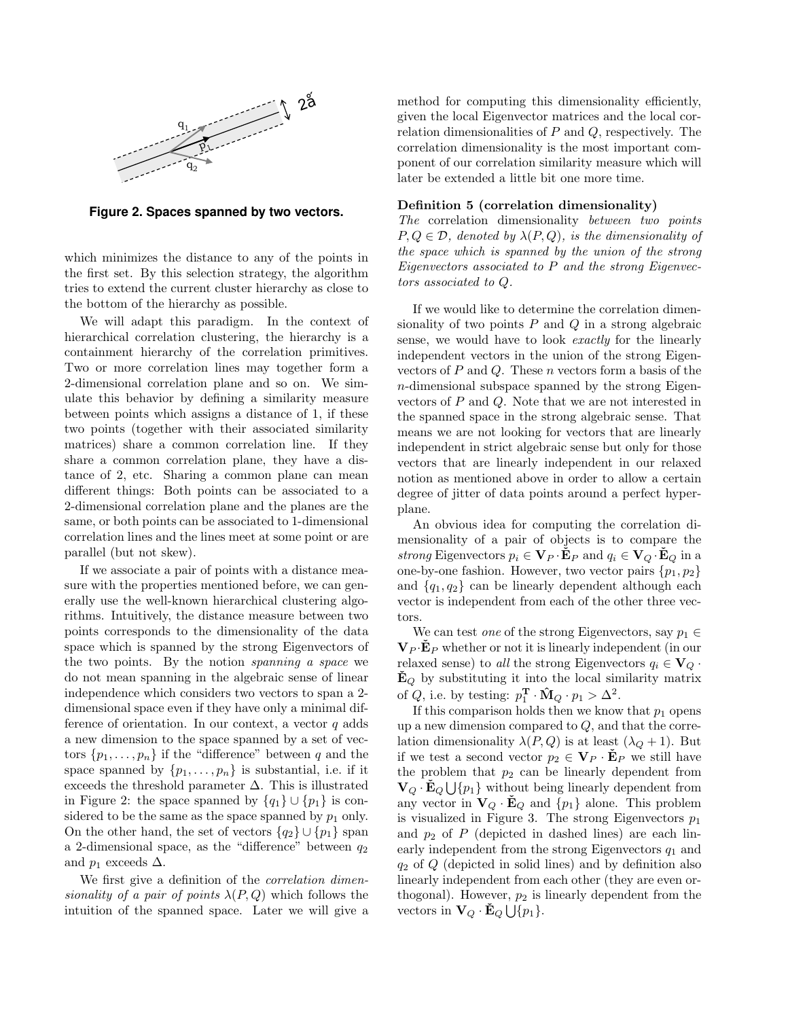

**Figure 2. Spaces spanned by two vectors.**

which minimizes the distance to any of the points in the first set. By this selection strategy, the algorithm tries to extend the current cluster hierarchy as close to the bottom of the hierarchy as possible.

We will adapt this paradigm. In the context of hierarchical correlation clustering, the hierarchy is a containment hierarchy of the correlation primitives. Two or more correlation lines may together form a 2-dimensional correlation plane and so on. We simulate this behavior by defining a similarity measure between points which assigns a distance of 1, if these two points (together with their associated similarity matrices) share a common correlation line. If they share a common correlation plane, they have a distance of 2, etc. Sharing a common plane can mean different things: Both points can be associated to a 2-dimensional correlation plane and the planes are the same, or both points can be associated to 1-dimensional correlation lines and the lines meet at some point or are parallel (but not skew).

If we associate a pair of points with a distance measure with the properties mentioned before, we can generally use the well-known hierarchical clustering algorithms. Intuitively, the distance measure between two points corresponds to the dimensionality of the data space which is spanned by the strong Eigenvectors of the two points. By the notion *spanning a space* we do not mean spanning in the algebraic sense of linear independence which considers two vectors to span a 2 dimensional space even if they have only a minimal difference of orientation. In our context, a vector *q* adds a new dimension to the space spanned by a set of vectors  $\{p_1, \ldots, p_n\}$  if the "difference" between *q* and the space spanned by  $\{p_1, \ldots, p_n\}$  is substantial, i.e. if it exceeds the threshold parameter  $\Delta$ . This is illustrated in Figure 2: the space spanned by  $\{q_1\} \cup \{p_1\}$  is considered to be the same as the space spanned by  $p_1$  only. On the other hand, the set of vectors  ${q_2\} \cup {p_1}$  span a 2-dimensional space, as the "difference" between *q*<sup>2</sup> and  $p_1$  exceeds  $\Delta$ .

We first give a definition of the *correlation dimensionality of a pair of points*  $\lambda(P,Q)$  which follows the intuition of the spanned space. Later we will give a method for computing this dimensionality efficiently, given the local Eigenvector matrices and the local correlation dimensionalities of *P* and *Q*, respectively. The correlation dimensionality is the most important component of our correlation similarity measure which will later be extended a little bit one more time.

#### **Definition 5 (correlation dimensionality)**

*The* correlation dimensionality *between two points*  $P, Q \in \mathcal{D}$ *, denoted by*  $\lambda(P, Q)$ *, is the dimensionality of the space which is spanned by the union of the strong Eigenvectors associated to P and the strong Eigenvectors associated to Q.*

If we would like to determine the correlation dimensionality of two points *P* and *Q* in a strong algebraic sense, we would have to look *exactly* for the linearly independent vectors in the union of the strong Eigenvectors of *P* and *Q*. These *n* vectors form a basis of the *n*-dimensional subspace spanned by the strong Eigenvectors of *P* and *Q*. Note that we are not interested in the spanned space in the strong algebraic sense. That means we are not looking for vectors that are linearly independent in strict algebraic sense but only for those vectors that are linearly independent in our relaxed notion as mentioned above in order to allow a certain degree of jitter of data points around a perfect hyperplane.

An obvious idea for computing the correlation dimensionality of a pair of objects is to compare the *strong* Eigenvectors  $p_i \in \mathbf{V}_P \cdot \mathbf{E}_P$  and  $q_i \in \mathbf{V}_Q \cdot \mathbf{E}_Q$  in a one-by-one fashion. However, two vector pairs  $\{p_1, p_2\}$ and  ${q_1, q_2}$  can be linearly dependent although each vector is independent from each of the other three vectors.

We can test *one* of the strong Eigenvectors, say  $p_1 \in$  $\mathbf{V}_P \cdot \mathbf{E}_P$  whether or not it is linearly independent (in our relaxed sense) to *all* the strong Eigenvectors  $q_i \in V_Q$ .  $\check{\mathbf{E}}_Q$  by substituting it into the local similarity matrix of *Q*, i.e. by testing:  $p_1^{\mathbf{T}} \cdot \hat{\mathbf{M}}_Q \cdot p_1 > \Delta^2$ .

If this comparison holds then we know that  $p_1$  opens up a new dimension compared to *Q*, and that the correlation dimensionality  $\lambda(P,Q)$  is at least  $(\lambda_Q + 1)$ . But if we test a second vector  $p_2 \in V_P \cdot E_P$  we still have the problem that  $p_2$  can be linearly dependent from  $\mathbf{V}_Q \cdot \mathbf{E}_Q \bigcup \{p_1\}$  without being linearly dependent from any vector in  $V_Q \cdot \dot{E}_Q$  and  $\{p_1\}$  alone. This problem is visualized in Figure 3. The strong Eigenvectors  $p_1$ and  $p_2$  of  $P$  (depicted in dashed lines) are each linearly independent from the strong Eigenvectors  $q_1$  and *q*<sup>2</sup> of *Q* (depicted in solid lines) and by definition also linearly independent from each other (they are even orthogonal). However,  $p_2$  is linearly dependent from the vectors in  $\mathbf{V}_Q \cdot \mathbf{\check{E}}_Q \bigcup \{p_1\}.$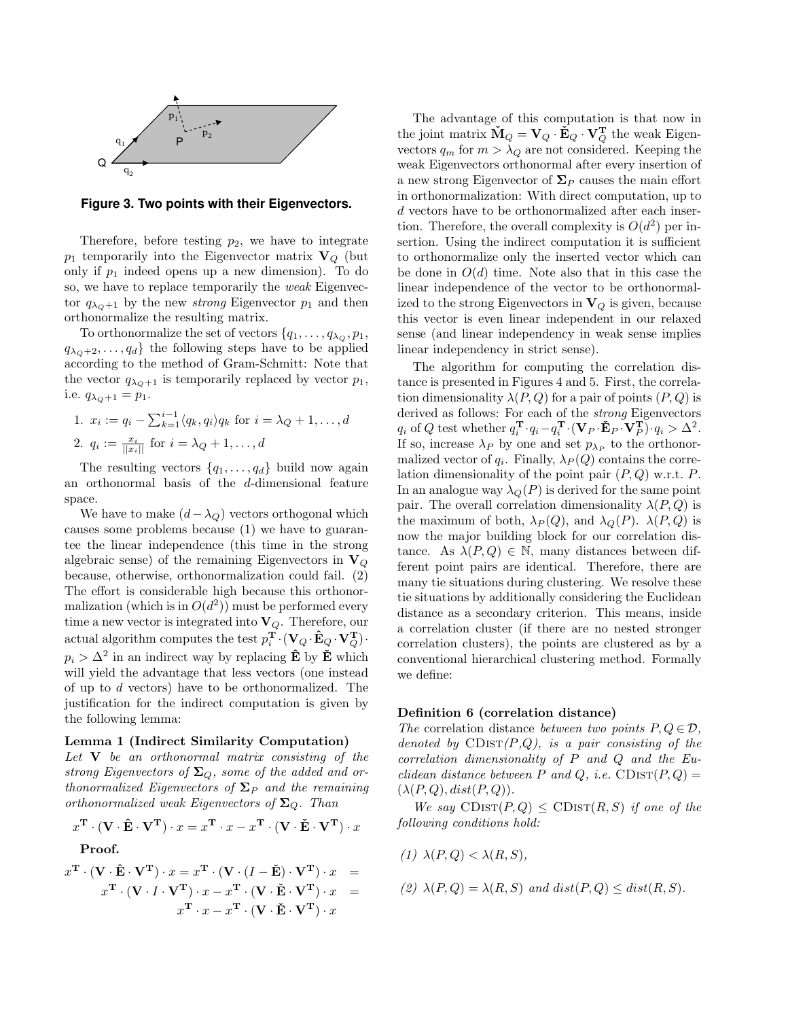

**Figure 3. Two points with their Eigenvectors.**

Therefore, before testing  $p_2$ , we have to integrate  $p_1$  temporarily into the Eigenvector matrix  $\mathbf{V}_Q$  (but only if  $p_1$  indeed opens up a new dimension). To do so, we have to replace temporarily the *weak* Eigenvector  $q_{\lambda_Q+1}$  by the new *strong* Eigenvector  $p_1$  and then orthonormalize the resulting matrix.

To orthonormalize the set of vectors  $\{q_1, \ldots, q_{\lambda_Q}, p_1, \ldots\}$  $q_{\lambda_Q+2},\ldots,q_d$  the following steps have to be applied according to the method of Gram-Schmitt: Note that the vector  $q_{\lambda_Q+1}$  is temporarily replaced by vector  $p_1$ , i.e.  $q_{\lambda_Q+1} = p_1$ .

1. 
$$
x_i := q_i - \sum_{k=1}^{i-1} \langle q_k, q_i \rangle q_k
$$
 for  $i = \lambda_Q + 1, ..., d$   
2.  $q_i := \frac{x_i}{||x_i||}$  for  $i = \lambda_Q + 1, ..., d$ 

The resulting vectors  $\{q_1, \ldots, q_d\}$  build now again an orthonormal basis of the *d*-dimensional feature space.

We have to make  $(d - \lambda_Q)$  vectors orthogonal which causes some problems because (1) we have to guarantee the linear independence (this time in the strong algebraic sense) of the remaining Eigenvectors in  $V_Q$ because, otherwise, orthonormalization could fail. (2) The effort is considerable high because this orthonormalization (which is in  $O(d^2)$ ) must be performed every time a new vector is integrated into  $\mathbf{V}_Q$ . Therefore, our actual algorithm computes the test  $p_i^{\mathbf{T}} \cdot (\mathbf{V}_Q \cdot \mathbf{\hat{E}}_Q \cdot \mathbf{V}_Q^{\mathbf{T}}) \cdot$  $p_i > \Delta^2$  in an indirect way by replacing  $\hat{\mathbf{E}}$  by  $\check{\mathbf{E}}$  which will yield the advantage that less vectors (one instead of up to *d* vectors) have to be orthonormalized. The justification for the indirect computation is given by the following lemma:

#### **Lemma 1 (Indirect Similarity Computation)**

*Let* **V** *be an orthonormal matrix consisting of the* strong Eigenvectors of  $\Sigma_{\Omega}$ , some of the added and or*thonormalized Eigenvectors of*  $\Sigma_P$  *and the remaining orthonormalized weak Eigenvectors of*  $\Sigma_{Q}$ *. Than* 

$$
x^{\mathbf{T}} \cdot (\mathbf{V} \cdot \hat{\mathbf{E}} \cdot \mathbf{V}^{\mathbf{T}}) \cdot x = x^{\mathbf{T}} \cdot x - x^{\mathbf{T}} \cdot (\mathbf{V} \cdot \check{\mathbf{E}} \cdot \mathbf{V}^{\mathbf{T}}) \cdot x
$$

**Proof.**

$$
x^{\mathbf{T}} \cdot (\mathbf{V} \cdot \hat{\mathbf{E}} \cdot \mathbf{V}^{\mathbf{T}}) \cdot x = x^{\mathbf{T}} \cdot (\mathbf{V} \cdot (I - \check{\mathbf{E}}) \cdot \mathbf{V}^{\mathbf{T}}) \cdot x = x^{\mathbf{T}} \cdot (\mathbf{V} \cdot I \cdot \mathbf{V}^{\mathbf{T}}) \cdot x - x^{\mathbf{T}} \cdot (\mathbf{V} \cdot \check{\mathbf{E}} \cdot \mathbf{V}^{\mathbf{T}}) \cdot x = x^{\mathbf{T}} \cdot x - x^{\mathbf{T}} \cdot (\mathbf{V} \cdot \check{\mathbf{E}} \cdot \mathbf{V}^{\mathbf{T}}) \cdot x
$$

The advantage of this computation is that now in the joint matrix  $\mathbf{M}_Q = \mathbf{V}_Q \cdot \mathbf{E}_Q \cdot \mathbf{V}_Q^T$  the weak Eigenvectors  $q_m$  for  $m > \lambda_Q$  are not considered. Keeping the weak Eigenvectors orthonormal after every insertion of a new strong Eigenvector of  $\Sigma_P$  causes the main effort in orthonormalization: With direct computation, up to *d* vectors have to be orthonormalized after each insertion. Therefore, the overall complexity is  $O(d^2)$  per insertion. Using the indirect computation it is sufficient to orthonormalize only the inserted vector which can be done in  $O(d)$  time. Note also that in this case the linear independence of the vector to be orthonormalized to the strong Eigenvectors in  $V_Q$  is given, because this vector is even linear independent in our relaxed sense (and linear independency in weak sense implies linear independency in strict sense).

The algorithm for computing the correlation distance is presented in Figures 4 and 5. First, the correlation dimensionality  $\lambda(P,Q)$  for a pair of points  $(P,Q)$  is derived as follows: For each of the *strong* Eigenvectors  $q_i$  of *Q* test whether  $q_i^{\mathbf{T}} \cdot q_i - q_i^{\mathbf{T}} \cdot (\mathbf{V}_P \cdot \check{\mathbf{E}}_P \cdot \mathbf{V}_P^{\mathbf{T}}) \cdot q_i > \Delta^2$ . If so, increase  $\lambda_P$  by one and set  $p_{\lambda_P}$  to the orthonormalized vector of  $q_i$ . Finally,  $\lambda_P(Q)$  contains the correlation dimensionality of the point pair (*P, Q*) w.r.t. *P*. In an analogue way  $\lambda_Q(P)$  is derived for the same point pair. The overall correlation dimensionality  $\lambda(P,Q)$  is the maximum of both,  $\lambda_P(Q)$ , and  $\lambda_Q(P)$ .  $\lambda(P,Q)$  is now the major building block for our correlation distance. As  $\lambda(P,Q) \in \mathbb{N}$ , many distances between different point pairs are identical. Therefore, there are many tie situations during clustering. We resolve these tie situations by additionally considering the Euclidean distance as a secondary criterion. This means, inside a correlation cluster (if there are no nested stronger correlation clusters), the points are clustered as by a conventional hierarchical clustering method. Formally we define:

#### **Definition 6 (correlation distance)**

*The* correlation distance *between two points*  $P, Q \in \mathcal{D}$ *, denoted by*  $CDIST(P,Q)$ *, is a pair consisting of the correlation dimensionality of P and Q and the Eu* $clidean distance between P and Q, i.e. CDIST(P,Q) =$  $(\lambda(P,Q), dist(P,Q)).$ 

 $We say CDIST(P,Q) \le CDIST(R, S)$  *if one of the following conditions hold:*

$$
(1) \ \lambda(P,Q) < \lambda(R,S),
$$

 $(2)$   $\lambda(P,Q) = \lambda(R,S)$  *and*  $dist(P,Q) \leq dist(R,S)$ *.*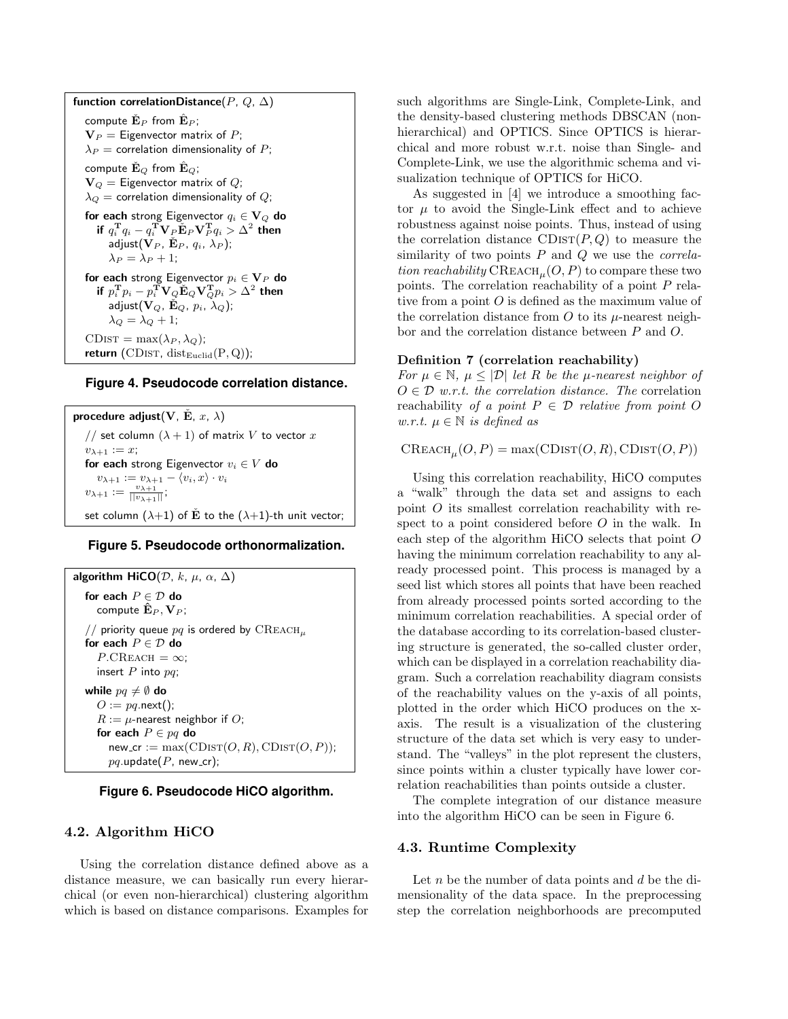**function correlationDistance**(P, Q, ∆) compute  $\check{\mathbf{E}}_P$  from  $\hat{\mathbf{E}}_P$ ;  **= Eigenvector matrix of** *P***;**  $\lambda_P$  = correlation dimensionality of P; compute  $\tilde{\mathbf{E}}_Q$  from  $\hat{\mathbf{E}}_Q$ ;  $V_Q$  = Eigenvector matrix of  $Q$ ;  $\lambda_Q$  = correlation dimensionality of  $Q$ ; **for each** strong Eigenvector  $q_i \in \mathbf{V}_Q$  **do** if  $q_i^{\mathbf{T}} q_i - q_i^{\mathbf{T}} \mathbf{V}_P \check{\mathbf{E}}_P \mathbf{V}_P^{\mathbf{T}} q_i > \Delta^2$  then adjust( ${\bf V}_P$ ,  ${\bf \dot E}_P$ ,  $q_i$ ,  $\lambda_P$ );  $\lambda_P = \lambda_P + 1$ ; **for each** strong Eigenvector  $p_i \in V_P$  **do**  $\textbf{if}~~p_i^{\mathbf{T}}p_i-p_i^{\mathbf{T}}\mathbf{V}_{\mathcal{Q}}\check{\mathbf{E}}_{Q}\mathbf{V}_{Q}^{\mathbf{T}}p_i>\Delta^2 \textbf{ then}$ adjust $(\mathbf{V}_Q, \, \check{\mathbf{E}}_Q, \, p_i, \, \lambda_Q)$ ;  $\lambda_Q = \lambda_Q + 1;$  $C\text{DIST} = \max(\lambda_P, \lambda_Q);$ **return** (CDIST, dist $_{\text{Euclid}}(P, Q)$ );

**Figure 4. Pseudocode correlation distance.**

```
procedure adjust(V, \check{E}, x, \lambda)
  // set column (\lambda + 1) of matrix V to vector x
 v_{\lambda+1} := x;for each strong Eigenvector v_i \in V do
      v_{\lambda+1} := v_{\lambda+1} - \langle v_i, x \rangle \cdot v_iv_{\lambda+1} := \frac{v_{\lambda+1}}{||v_{\lambda+1}||};
  set column (\lambda+1) of E<sup>\pm</sup> to the (\lambda+1)-th unit vector;
```
#### **Figure 5. Pseudocode orthonormalization.**

```
algorithm HiCO(\mathcal{D}, k, \mu, \alpha, \Delta)
for each P ∈ D do
  compute \mathbf{\hat{E}}_P, \mathbf{V}_P;
// priority queue pq is ordered by CREACH<sub>u</sub>
for each P ∈ D do
   P.CREACH = \infty;
  insert P into pq;
while pq \neq \emptyset do
   O := pq.next();
   R := \mu-nearest neighbor if O;
   for each P ∈ pq do
      new\_cr := max(CDIST(O, R), CDIST(O, P));pq.update(P, new_c);
```
**Figure 6. Pseudocode HiCO algorithm.**

#### **4.2. Algorithm HiCO**

Using the correlation distance defined above as a distance measure, we can basically run every hierarchical (or even non-hierarchical) clustering algorithm which is based on distance comparisons. Examples for

such algorithms are Single-Link, Complete-Link, and the density-based clustering methods DBSCAN (nonhierarchical) and OPTICS. Since OPTICS is hierarchical and more robust w.r.t. noise than Single- and Complete-Link, we use the algorithmic schema and visualization technique of OPTICS for HiCO.

As suggested in [4] we introduce a smoothing factor  $\mu$  to avoid the Single-Link effect and to achieve robustness against noise points. Thus, instead of using the correlation distance  $CDIST(P,Q)$  to measure the similarity of two points *P* and *Q* we use the *correlation reachability* CREACH<sub> $<sub>u</sub>(O, P)$  to compare these two</sub></sub> points. The correlation reachability of a point *P* relative from a point *O* is defined as the maximum value of the correlation distance from  $O$  to its  $\mu$ -nearest neighbor and the correlation distance between *P* and *O*.

#### **Definition 7 (correlation reachability)**

*For*  $\mu \in \mathbb{N}$ ,  $\mu \leq |\mathcal{D}|$  *let R be the*  $\mu$ *-nearest neighbor of*  $O \in \mathcal{D}$  *w.r.t. the correlation distance. The* correlation reachability *of a point*  $P \in \mathcal{D}$  *relative from point*  $O$ *w.r.t.*  $\mu \in \mathbb{N}$  *is defined as* 

$$
CREACHu(O, P) = max(CDIST(O, R), CDIST(O, P))
$$

Using this correlation reachability, HiCO computes a "walk" through the data set and assigns to each point *O* its smallest correlation reachability with respect to a point considered before *O* in the walk. In each step of the algorithm HiCO selects that point *O* having the minimum correlation reachability to any already processed point. This process is managed by a seed list which stores all points that have been reached from already processed points sorted according to the minimum correlation reachabilities. A special order of the database according to its correlation-based clustering structure is generated, the so-called cluster order, which can be displayed in a correlation reachability diagram. Such a correlation reachability diagram consists of the reachability values on the y-axis of all points, plotted in the order which HiCO produces on the xaxis. The result is a visualization of the clustering structure of the data set which is very easy to understand. The "valleys" in the plot represent the clusters, since points within a cluster typically have lower correlation reachabilities than points outside a cluster.

The complete integration of our distance measure into the algorithm HiCO can be seen in Figure 6.

#### **4.3. Runtime Complexity**

Let *n* be the number of data points and *d* be the dimensionality of the data space. In the preprocessing step the correlation neighborhoods are precomputed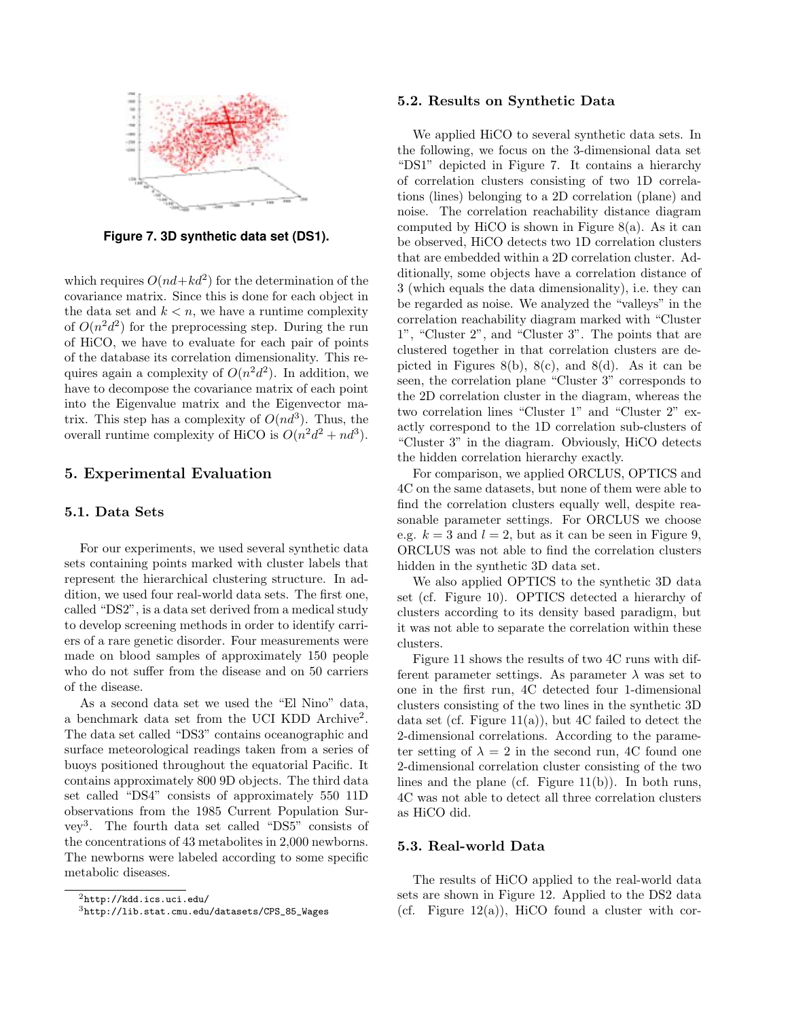

**Figure 7. 3D synthetic data set (DS1).**

which requires  $O(nd + kd^2)$  for the determination of the covariance matrix. Since this is done for each object in the data set and  $k < n$ , we have a runtime complexity of  $O(n^2d^2)$  for the preprocessing step. During the run of HiCO, we have to evaluate for each pair of points of the database its correlation dimensionality. This requires again a complexity of  $O(n^2d^2)$ . In addition, we have to decompose the covariance matrix of each point into the Eigenvalue matrix and the Eigenvector matrix. This step has a complexity of  $O(nd^3)$ . Thus, the overall runtime complexity of HiCO is  $O(n^2d^2 + nd^3)$ .

## **5. Experimental Evaluation**

### **5.1. Data Sets**

For our experiments, we used several synthetic data sets containing points marked with cluster labels that represent the hierarchical clustering structure. In addition, we used four real-world data sets. The first one, called "DS2", is a data set derived from a medical study to develop screening methods in order to identify carriers of a rare genetic disorder. Four measurements were made on blood samples of approximately 150 people who do not suffer from the disease and on 50 carriers of the disease.

As a second data set we used the "El Nino" data, a benchmark data set from the UCI KDD Archive<sup>2</sup>. The data set called "DS3" contains oceanographic and surface meteorological readings taken from a series of buoys positioned throughout the equatorial Pacific. It contains approximately 800 9D objects. The third data set called "DS4" consists of approximately 550 11D observations from the 1985 Current Population Survey<sup>3</sup>. The fourth data set called "DS5" consists of the concentrations of 43 metabolites in 2,000 newborns. The newborns were labeled according to some specific metabolic diseases.

#### **5.2. Results on Synthetic Data**

We applied HiCO to several synthetic data sets. In the following, we focus on the 3-dimensional data set "DS1" depicted in Figure 7. It contains a hierarchy of correlation clusters consisting of two 1D correlations (lines) belonging to a 2D correlation (plane) and noise. The correlation reachability distance diagram computed by HiCO is shown in Figure  $8(a)$ . As it can be observed, HiCO detects two 1D correlation clusters that are embedded within a 2D correlation cluster. Additionally, some objects have a correlation distance of 3 (which equals the data dimensionality), i.e. they can be regarded as noise. We analyzed the "valleys" in the correlation reachability diagram marked with "Cluster 1", "Cluster 2", and "Cluster 3". The points that are clustered together in that correlation clusters are depicted in Figures 8(b), 8(c), and 8(d). As it can be seen, the correlation plane "Cluster 3" corresponds to the 2D correlation cluster in the diagram, whereas the two correlation lines "Cluster 1" and "Cluster 2" exactly correspond to the 1D correlation sub-clusters of "Cluster 3" in the diagram. Obviously, HiCO detects the hidden correlation hierarchy exactly.

For comparison, we applied ORCLUS, OPTICS and 4C on the same datasets, but none of them were able to find the correlation clusters equally well, despite reasonable parameter settings. For ORCLUS we choose e.g.  $k = 3$  and  $l = 2$ , but as it can be seen in Figure 9, ORCLUS was not able to find the correlation clusters hidden in the synthetic 3D data set.

We also applied OPTICS to the synthetic 3D data set (cf. Figure 10). OPTICS detected a hierarchy of clusters according to its density based paradigm, but it was not able to separate the correlation within these clusters.

Figure 11 shows the results of two 4C runs with different parameter settings. As parameter  $\lambda$  was set to one in the first run, 4C detected four 1-dimensional clusters consisting of the two lines in the synthetic 3D data set (cf. Figure  $11(a)$ ), but 4C failed to detect the 2-dimensional correlations. According to the parameter setting of  $\lambda = 2$  in the second run, 4C found one 2-dimensional correlation cluster consisting of the two lines and the plane (cf. Figure 11(b)). In both runs, 4C was not able to detect all three correlation clusters as HiCO did.

#### **5.3. Real-world Data**

The results of HiCO applied to the real-world data sets are shown in Figure 12. Applied to the DS2 data (cf. Figure  $12(a)$ ), HiCO found a cluster with cor-

<sup>2</sup>http://kdd.ics.uci.edu/

<sup>3</sup>http://lib.stat.cmu.edu/datasets/CPS\_85\_Wages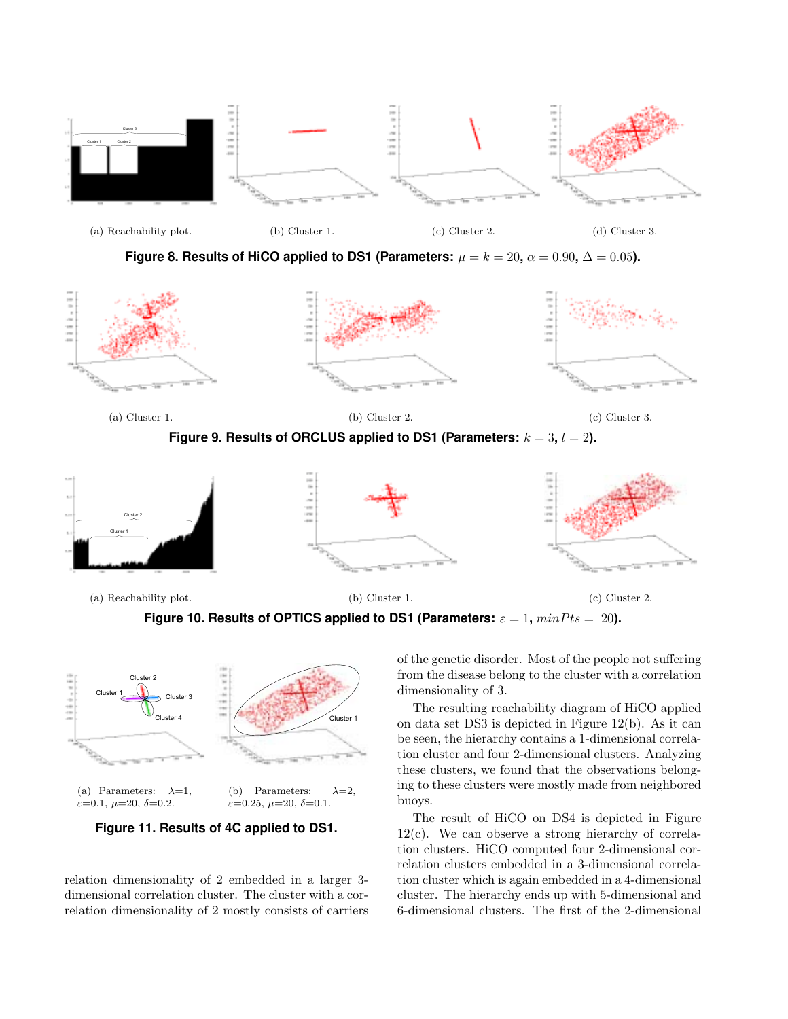

**Figure 8. Results of HiCO applied to DS1 (Parameters:**  $\mu = k = 20$ ,  $\alpha = 0.90$ ,  $\Delta = 0.05$ ).



(a) Cluster 1. (b) Cluster 2. (c) Cluster 3.





**Figure 10. Results of OPTICS applied to DS1 (Parameters:**  $\varepsilon = 1$ ,  $minPts = 20$ ).



**Figure 11. Results of 4C applied to DS1.**

relation dimensionality of 2 embedded in a larger 3 dimensional correlation cluster. The cluster with a correlation dimensionality of 2 mostly consists of carriers of the genetic disorder. Most of the people not suffering from the disease belong to the cluster with a correlation dimensionality of 3.

The resulting reachability diagram of HiCO applied on data set DS3 is depicted in Figure 12(b). As it can be seen, the hierarchy contains a 1-dimensional correlation cluster and four 2-dimensional clusters. Analyzing these clusters, we found that the observations belonging to these clusters were mostly made from neighbored buoys.

The result of HiCO on DS4 is depicted in Figure  $12(c)$ . We can observe a strong hierarchy of correlation clusters. HiCO computed four 2-dimensional correlation clusters embedded in a 3-dimensional correlation cluster which is again embedded in a 4-dimensional cluster. The hierarchy ends up with 5-dimensional and 6-dimensional clusters. The first of the 2-dimensional